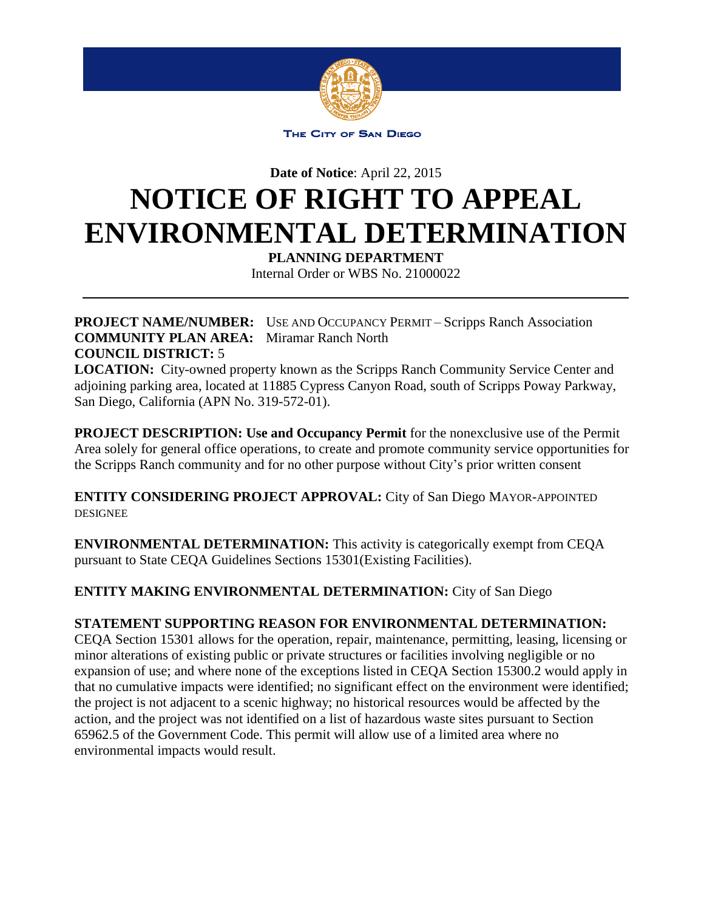

THE CITY OF SAN DIEGO

**Date of Notice**: April 22, 2015

## **NOTICE OF RIGHT TO APPEAL ENVIRONMENTAL DETERMINATION**

**PLANNING DEPARTMENT** 

Internal Order or WBS No. 21000022

**PROJECT NAME/NUMBER:** USE AND OCCUPANCY PERMIT – Scripps Ranch Association **COMMUNITY PLAN AREA:** Miramar Ranch North **COUNCIL DISTRICT:** 5

**LOCATION:** City-owned property known as the Scripps Ranch Community Service Center and adjoining parking area, located at 11885 Cypress Canyon Road, south of Scripps Poway Parkway, San Diego, California (APN No. 319-572-01).

**PROJECT DESCRIPTION: Use and Occupancy Permit** for the nonexclusive use of the Permit Area solely for general office operations, to create and promote community service opportunities for the Scripps Ranch community and for no other purpose without City's prior written consent

**ENTITY CONSIDERING PROJECT APPROVAL:** City of San Diego MAYOR-APPOINTED DESIGNEE

**ENVIRONMENTAL DETERMINATION:** This activity is categorically exempt from CEQA pursuant to State CEQA Guidelines Sections 15301(Existing Facilities).

## **ENTITY MAKING ENVIRONMENTAL DETERMINATION:** City of San Diego

## **STATEMENT SUPPORTING REASON FOR ENVIRONMENTAL DETERMINATION:**

CEQA Section 15301 allows for the operation, repair, maintenance, permitting, leasing, licensing or minor alterations of existing public or private structures or facilities involving negligible or no expansion of use; and where none of the exceptions listed in CEQA Section 15300.2 would apply in that no cumulative impacts were identified; no significant effect on the environment were identified; the project is not adjacent to a scenic highway; no historical resources would be affected by the action, and the project was not identified on a list of hazardous waste sites pursuant to Section 65962.5 of the Government Code. This permit will allow use of a limited area where no environmental impacts would result.